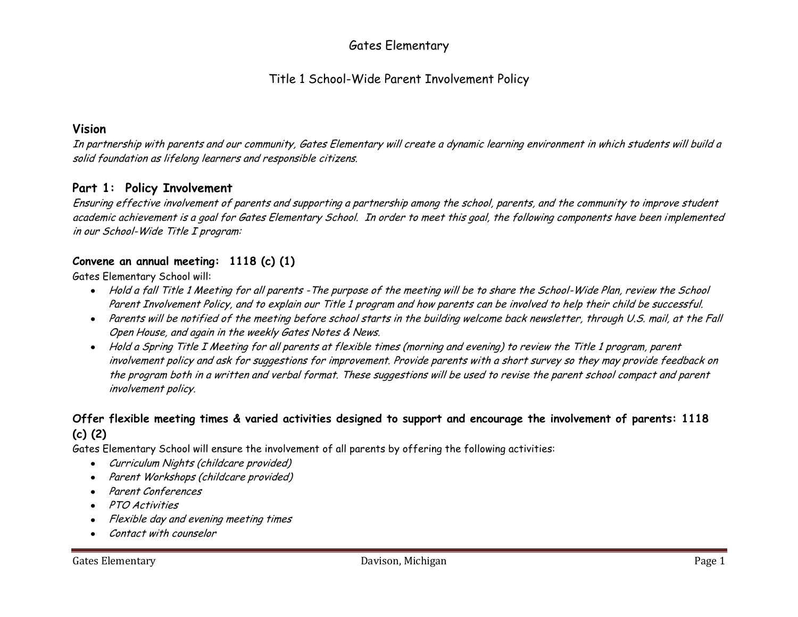# Gates Elementary

# Title 1 School-Wide Parent Involvement Policy

#### **Vision**

In partnership with parents and our community, Gates Elementary will create a dynamic learning environment in which students will build a solid foundation as lifelong learners and responsible citizens.

## **Part 1: Policy Involvement**

Ensuring effective involvement of parents and supporting a partnership among the school, parents, and the community to improve student academic achievement is a goal for Gates Elementary School. In order to meet this goal, the following components have been implemented in our School-Wide Title I program:

## **Convene an annual meeting: 1118 (c) (1)**

Gates Elementary School will:

- Hold a fall Title 1 Meeting for all parents -The purpose of the meeting will be to share the School-Wide Plan, review the School Parent Involvement Policy, and to explain our Title 1 program and how parents can be involved to help their child be successful.
- Parents will be notified of the meeting before school starts in the building welcome back newsletter, through U.S. mail, at the Fall Open House, and again in the weekly Gates Notes & News.
- Hold a Spring Title I Meeting for all parents at flexible times (morning and evening) to review the Title 1 program, parent involvement policy and ask for suggestions for improvement. Provide parents with a short survey so they may provide feedback on the program both in a written and verbal format. These suggestions will be used to revise the parent school compact and parent involvement policy.

## **Offer flexible meeting times & varied activities designed to support and encourage the involvement of parents: 1118 (c) (2)**

Gates Elementary School will ensure the involvement of all parents by offering the following activities:

- Curriculum Nights (childcare provided)
- Parent Workshops (childcare provided)  $\bullet$
- Parent Conferences  $\bullet$
- PTO Activities  $\bullet$
- Flexible day and evening meeting times
- Contact with counselor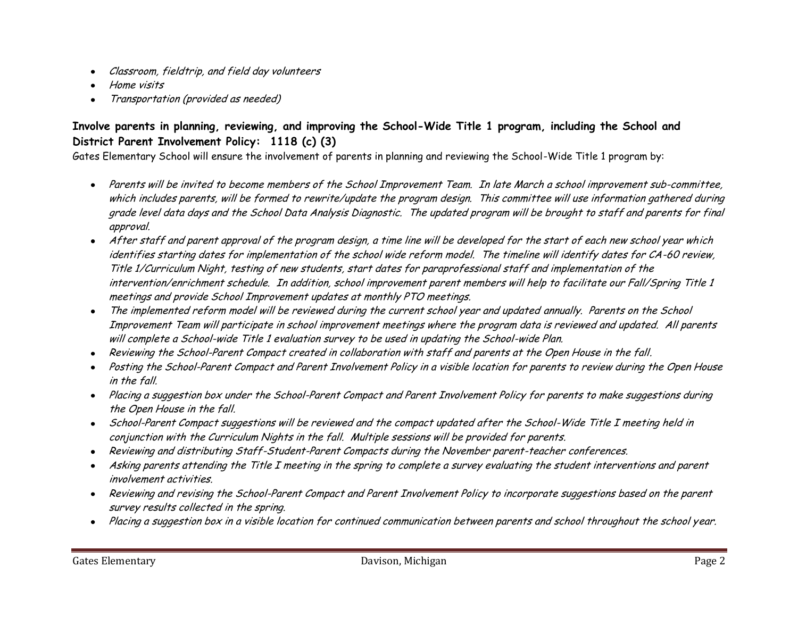- Classroom, fieldtrip, and field day volunteers
- Home visits
- Transportation (provided as needed)

## **Involve parents in planning, reviewing, and improving the School-Wide Title 1 program, including the School and District Parent Involvement Policy: 1118 (c) (3)**

Gates Elementary School will ensure the involvement of parents in planning and reviewing the School-Wide Title 1 program by:

- Parents will be invited to become members of the School Improvement Team. In late March a school improvement sub-committee, which includes parents, will be formed to rewrite/update the program design. This committee will use information gathered during grade level data days and the School Data Analysis Diagnostic. The updated program will be brought to staff and parents for final approval.
- After staff and parent approval of the program design, a time line will be developed for the start of each new school year which identifies starting dates for implementation of the school wide reform model. The timeline will identify dates for CA-60 review, Title 1/Curriculum Night, testing of new students, start dates for paraprofessional staff and implementation of the intervention/enrichment schedule. In addition, school improvement parent members will help to facilitate our Fall/Spring Title 1 meetings and provide School Improvement updates at monthly PTO meetings.
- The implemented reform model will be reviewed during the current school year and updated annually. Parents on the School  $\bullet$ Improvement Team will participate in school improvement meetings where the program data is reviewed and updated. All parents will complete a School-wide Title 1 evaluation survey to be used in updating the School-wide Plan.
- Reviewing the School-Parent Compact created in collaboration with staff and parents at the Open House in the fall.
- Posting the School-Parent Compact and Parent Involvement Policy in a visible location for parents to review during the Open House in the fall.
- Placing a suggestion box under the School-Parent Compact and Parent Involvement Policy for parents to make suggestions during the Open House in the fall.
- School-Parent Compact suggestions will be reviewed and the compact updated after the School-Wide Title I meeting held in conjunction with the Curriculum Nights in the fall. Multiple sessions will be provided for parents.
- Reviewing and distributing Staff-Student-Parent Compacts during the November parent-teacher conferences.
- Asking parents attending the Title I meeting in the spring to complete a survey evaluating the student interventions and parent involvement activities.
- Reviewing and revising the School-Parent Compact and Parent Involvement Policy to incorporate suggestions based on the parent  $\bullet$ survey results collected in the spring.
- Placing a suggestion box in a visible location for continued communication between parents and school throughout the school year.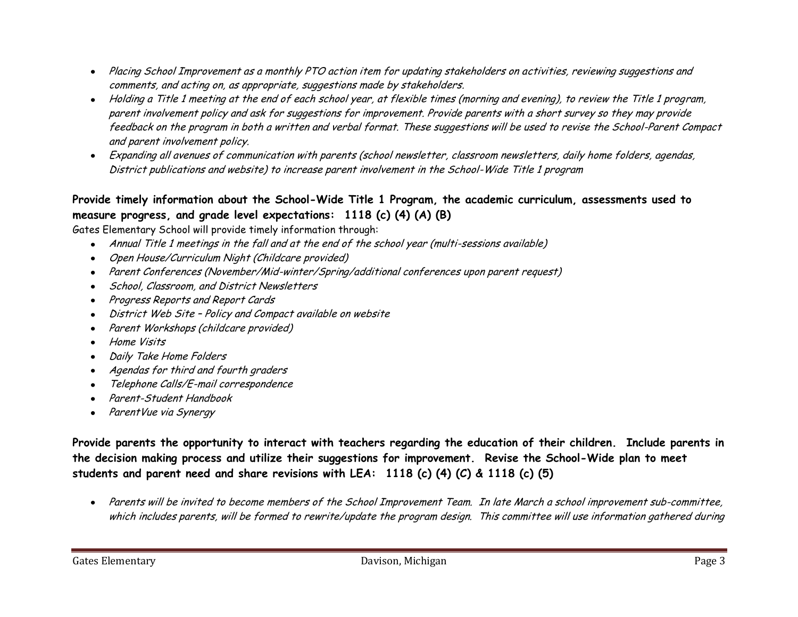- Placing School Improvement as a monthly PTO action item for updating stakeholders on activities, reviewing suggestions and  $\bullet$ comments, and acting on, as appropriate, suggestions made by stakeholders.
- Holding a Title 1 meeting at the end of each school year, at flexible times (morning and evening), to review the Title 1 program, parent involvement policy and ask for suggestions for improvement. Provide parents with a short survey so they may provide feedback on the program in both a written and verbal format. These suggestions will be used to revise the School-Parent Compact and parent involvement policy.
- Expanding all avenues of communication with parents (school newsletter, classroom newsletters, daily home folders, agendas, District publications and website) to increase parent involvement in the School-Wide Title 1 program

# **Provide timely information about the School-Wide Title 1 Program, the academic curriculum, assessments used to measure progress, and grade level expectations: 1118 (c) (4) (A) (B)**

Gates Elementary School will provide timely information through:

- Annual Title 1 meetings in the fall and at the end of the school year (multi-sessions available)
- Open House/Curriculum Night (Childcare provided)  $\bullet$
- Parent Conferences (November/Mid-winter/Spring/additional conferences upon parent request)  $\bullet$
- School, Classroom, and District Newsletters
- Progress Reports and Report Cards  $\bullet$
- District Web Site Policy and Compact available on website
- Parent Workshops (childcare provided)
- Home Visits
- Daily Take Home Folders  $\bullet$
- Agendas for third and fourth graders  $\bullet$
- Telephone Calls/E-mail correspondence  $\bullet$
- Parent-Student Handbook
- ParentVue via Synergy

**Provide parents the opportunity to interact with teachers regarding the education of their children. Include parents in the decision making process and utilize their suggestions for improvement. Revise the School-Wide plan to meet students and parent need and share revisions with LEA: 1118 (c) (4) (C) & 1118 (c) (5)**

Parents will be invited to become members of the School Improvement Team. In late March a school improvement sub-committee, which includes parents, will be formed to rewrite/update the program design. This committee will use information gathered during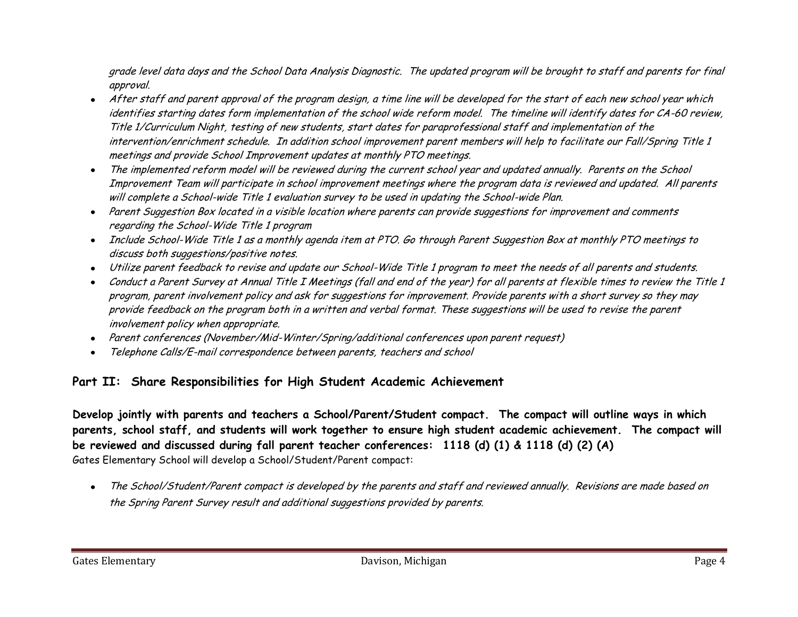grade level data days and the School Data Analysis Diagnostic. The updated program will be brought to staff and parents for final approval.

- After staff and parent approval of the program design, a time line will be developed for the start of each new school year which identifies starting dates form implementation of the school wide reform model. The timeline will identify dates for CA-60 review, Title 1/Curriculum Night, testing of new students, start dates for paraprofessional staff and implementation of the intervention/enrichment schedule. In addition school improvement parent members will help to facilitate our Fall/Spring Title 1 meetings and provide School Improvement updates at monthly PTO meetings.
- The implemented reform model will be reviewed during the current school year and updated annually. Parents on the School Improvement Team will participate in school improvement meetings where the program data is reviewed and updated. All parents will complete a School-wide Title 1 evaluation survey to be used in updating the School-wide Plan.
- Parent Suggestion Box located in a visible location where parents can provide suggestions for improvement and comments regarding the School-Wide Title 1 program
- Include School-Wide Title 1 as a monthly agenda item at PTO. Go through Parent Suggestion Box at monthly PTO meetings to discuss both suggestions/positive notes.
- Utilize parent feedback to revise and update our School-Wide Title 1 program to meet the needs of all parents and students.
- Conduct a Parent Survey at Annual Title I Meetings (fall and end of the year) for all parents at flexible times to review the Title 1 program, parent involvement policy and ask for suggestions for improvement. Provide parents with a short survey so they may provide feedback on the program both in a written and verbal format. These suggestions will be used to revise the parent involvement policy when appropriate.
- Parent conferences (November/Mid-Winter/Spring/additional conferences upon parent request)  $\bullet$
- Telephone Calls/E-mail correspondence between parents, teachers and school  $\bullet$

# **Part II: Share Responsibilities for High Student Academic Achievement**

**Develop jointly with parents and teachers a School/Parent/Student compact. The compact will outline ways in which parents, school staff, and students will work together to ensure high student academic achievement. The compact will be reviewed and discussed during fall parent teacher conferences: 1118 (d) (1) & 1118 (d) (2) (A)** Gates Elementary School will develop a School/Student/Parent compact:

The School/Student/Parent compact is developed by the parents and staff and reviewed annually. Revisions are made based on  $\bullet$ the Spring Parent Survey result and additional suggestions provided by parents.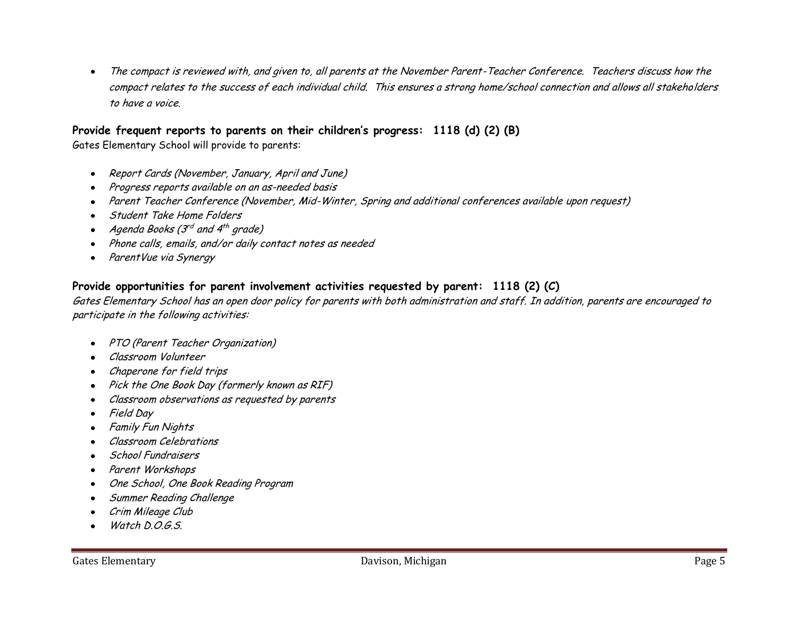The compact is reviewed with, and given to, all parents at the November Parent-Teacher Conference. Teachers discuss how the  $\bullet$ compact relates to the success of each individual child. This ensures a strong home/school connection and allows all stakeholders to have a voice.

#### **Provide frequent reports to parents on their children's progress: 1118 (d) (2) (B)**

Gates Elementary School will provide to parents:

- Report Cards (November, January, April and June)  $\bullet$
- Progress reports available on an as-needed basis
- Parent Teacher Conference (November, Mid-Winter, Spring and additional conferences available upon request)  $\bullet$
- Student Take Home Folders
- Agenda Books (3<sup>rd</sup> and 4<sup>th</sup> grade)
- Phone calls, emails, and/or daily contact notes as needed  $\bullet$
- ParentVue via Synergy  $\bullet$

### **Provide opportunities for parent involvement activities requested by parent: 1118 (2) (C)**

Gates Elementary School has an open door policy for parents with both administration and staff. In addition, parents are encouraged to participate in the following activities:

- PTO (Parent Teacher Organization)
- Classroom Volunteer
- Chaperone for field trips
- Pick the One Book Day (formerly known as RIF)
- Classroom observations as requested by parents  $\bullet$
- Field Day  $\bullet$
- Family Fun Nights
- Classroom Celebrations
- School Fundraisers  $\bullet$
- Parent Workshops
- One School, One Book Reading Program
- Summer Reading Challenge  $\bullet$
- Crim Mileage Club
- Watch D.O.G.S.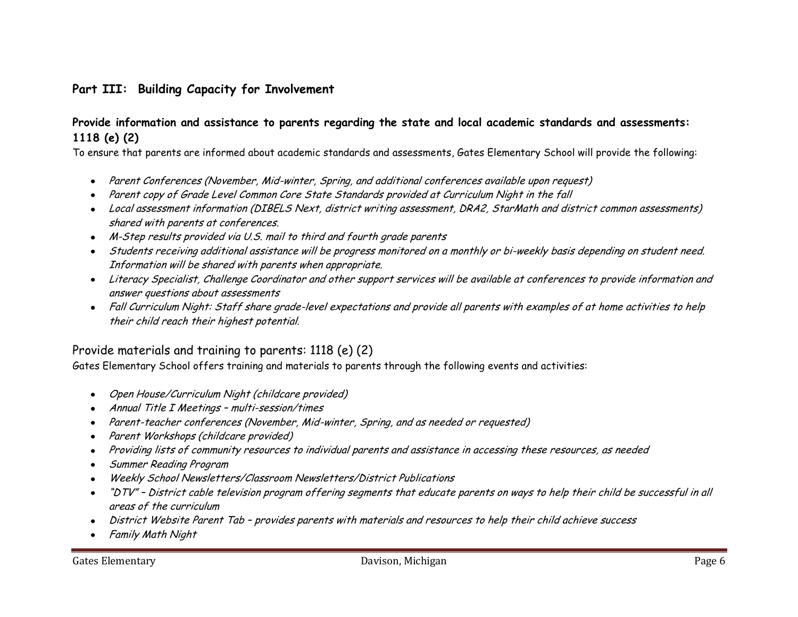## **Part III: Building Capacity for Involvement**

#### **Provide information and assistance to parents regarding the state and local academic standards and assessments: 1118 (e) (2)**

To ensure that parents are informed about academic standards and assessments, Gates Elementary School will provide the following:

- Parent Conferences (November, Mid-winter, Spring, and additional conferences available upon request)  $\bullet$
- Parent copy of Grade Level Common Core State Standards provided at Curriculum Night in the fall
- Local assessment information (DIBELS Next, district writing assessment, DRA2, StarMath and district common assessments) shared with parents at conferences.
- M-Step results provided via U.S. mail to third and fourth grade parents
- Students receiving additional assistance will be progress monitored on a monthly or bi-weekly basis depending on student need. Information will be shared with parents when appropriate.
- Literacy Specialist, Challenge Coordinator and other support services will be available at conferences to provide information and answer questions about assessments
- Fall Curriculum Night: Staff share grade-level expectations and provide all parents with examples of at home activities to help their child reach their highest potential.

## Provide materials and training to parents: 1118 (e) (2)

Gates Elementary School offers training and materials to parents through the following events and activities:

- Open House/Curriculum Night (childcare provided)
- Annual Title I Meetings multi-session/times  $\bullet$
- Parent-teacher conferences (November, Mid-winter, Spring, and as needed or requested)  $\bullet$
- Parent Workshops (childcare provided)
- Providing lists of community resources to individual parents and assistance in accessing these resources, as needed  $\bullet$
- Summer Reading Program  $\bullet$
- Weekly School Newsletters/Classroom Newsletters/District Publications
- "DTV" District cable television program offering segments that educate parents on ways to help their child be successful in all areas of the curriculum
- District Website Parent Tab provides parents with materials and resources to help their child achieve success
- Family Math Night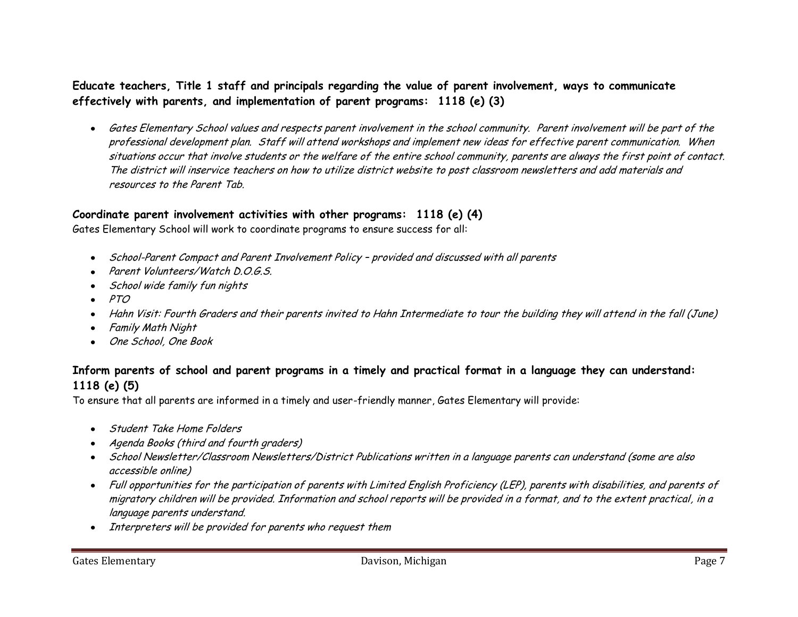### **Educate teachers, Title 1 staff and principals regarding the value of parent involvement, ways to communicate effectively with parents, and implementation of parent programs: 1118 (e) (3)**

Gates Elementary School values and respects parent involvement in the school community. Parent involvement will be part of the professional development plan. Staff will attend workshops and implement new ideas for effective parent communication. When situations occur that involve students or the welfare of the entire school community, parents are always the first point of contact. The district will inservice teachers on how to utilize district website to post classroom newsletters and add materials and resources to the Parent Tab.

### **Coordinate parent involvement activities with other programs: 1118 (e) (4)**

Gates Elementary School will work to coordinate programs to ensure success for all:

- School-Parent Compact and Parent Involvement Policy provided and discussed with all parents  $\bullet$
- Parent Volunteers/Watch D.O.G.S.
- School wide family fun nights
- PTO  $\bullet$
- Hahn Visit: Fourth Graders and their parents invited to Hahn Intermediate to tour the building they will attend in the fall (June)
- Family Math Night  $\bullet$
- One School, One Book  $\bullet$

## **Inform parents of school and parent programs in a timely and practical format in a language they can understand: 1118 (e) (5)**

To ensure that all parents are informed in a timely and user-friendly manner, Gates Elementary will provide:

- Student Take Home Folders
- Agenda Books (third and fourth graders)
- School Newsletter/Classroom Newsletters/District Publications written in a language parents can understand (some are also accessible online)
- Full opportunities for the participation of parents with Limited English Proficiency (LEP), parents with disabilities, and parents of migratory children will be provided. Information and school reports will be provided in a format, and to the extent practical, in a language parents understand.
- Interpreters will be provided for parents who request them